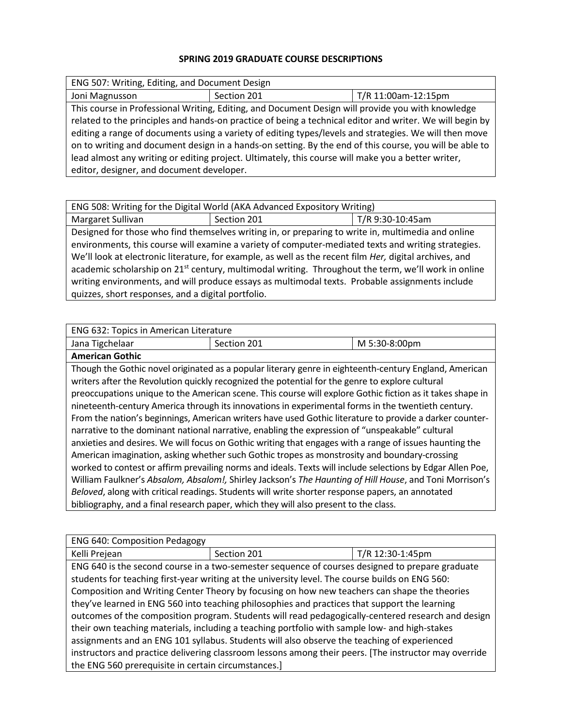## **SPRING 2019 GRADUATE COURSE DESCRIPTIONS**

| ENG 507: Writing, Editing, and Document Design                                                           |             |                     |
|----------------------------------------------------------------------------------------------------------|-------------|---------------------|
| Joni Magnusson                                                                                           | Section 201 | T/R 11:00am-12:15pm |
| This course in Professional Writing, Editing, and Document Design will provide you with knowledge        |             |                     |
| related to the principles and hands-on practice of being a technical editor and writer. We will begin by |             |                     |
| editing a range of documents using a variety of editing types/levels and strategies. We will then move   |             |                     |
| on to writing and document design in a hands-on setting. By the end of this course, you will be able to  |             |                     |
| lead almost any writing or editing project. Ultimately, this course will make you a better writer,       |             |                     |
| editor, designer, and document developer.                                                                |             |                     |

| ENG 508: Writing for the Digital World (AKA Advanced Expository Writing)                                        |             |                  |
|-----------------------------------------------------------------------------------------------------------------|-------------|------------------|
| Margaret Sullivan                                                                                               | Section 201 | T/R 9:30-10:45am |
| Designed for those who find themselves writing in, or preparing to write in, multimedia and online              |             |                  |
| environments, this course will examine a variety of computer-mediated texts and writing strategies.             |             |                  |
| We'll look at electronic literature, for example, as well as the recent film <i>Her</i> , digital archives, and |             |                  |
| academic scholarship on 21 <sup>st</sup> century, multimodal writing. Throughout the term, we'll work in online |             |                  |
| writing environments, and will produce essays as multimodal texts. Probable assignments include                 |             |                  |
| quizzes, short responses, and a digital portfolio.                                                              |             |                  |

| ENG 632: Topics in American Literature                                                                    |                                                                                                            |               |
|-----------------------------------------------------------------------------------------------------------|------------------------------------------------------------------------------------------------------------|---------------|
| Jana Tigchelaar                                                                                           | Section 201                                                                                                | M 5:30-8:00pm |
| <b>American Gothic</b>                                                                                    |                                                                                                            |               |
|                                                                                                           | Though the Gothic novel originated as a popular literary genre in eighteenth-century England, American     |               |
| writers after the Revolution quickly recognized the potential for the genre to explore cultural           |                                                                                                            |               |
| preoccupations unique to the American scene. This course will explore Gothic fiction as it takes shape in |                                                                                                            |               |
| nineteenth-century America through its innovations in experimental forms in the twentieth century.        |                                                                                                            |               |
| From the nation's beginnings, American writers have used Gothic literature to provide a darker counter-   |                                                                                                            |               |
| narrative to the dominant national narrative, enabling the expression of "unspeakable" cultural           |                                                                                                            |               |
| anxieties and desires. We will focus on Gothic writing that engages with a range of issues haunting the   |                                                                                                            |               |
| American imagination, asking whether such Gothic tropes as monstrosity and boundary-crossing              |                                                                                                            |               |
|                                                                                                           | worked to contest or affirm prevailing norms and ideals. Texts will include selections by Edgar Allen Poe, |               |
| William Faulkner's Absalom, Absalom!, Shirley Jackson's The Haunting of Hill House, and Toni Morrison's   |                                                                                                            |               |
|                                                                                                           | Beloved, along with critical readings. Students will write shorter response papers, an annotated           |               |
|                                                                                                           | bibliography, and a final research paper, which they will also present to the class.                       |               |

| <b>ENG 640: Composition Pedagogy</b>                                                               |                                                                                                       |                  |
|----------------------------------------------------------------------------------------------------|-------------------------------------------------------------------------------------------------------|------------------|
| Kelli Prejean                                                                                      | Section 201                                                                                           | T/R 12:30-1:45pm |
| ENG 640 is the second course in a two-semester sequence of courses designed to prepare graduate    |                                                                                                       |                  |
| students for teaching first-year writing at the university level. The course builds on ENG 560:    |                                                                                                       |                  |
|                                                                                                    | Composition and Writing Center Theory by focusing on how new teachers can shape the theories          |                  |
|                                                                                                    | they've learned in ENG 560 into teaching philosophies and practices that support the learning         |                  |
| outcomes of the composition program. Students will read pedagogically-centered research and design |                                                                                                       |                  |
| their own teaching materials, including a teaching portfolio with sample low- and high-stakes      |                                                                                                       |                  |
| assignments and an ENG 101 syllabus. Students will also observe the teaching of experienced        |                                                                                                       |                  |
|                                                                                                    | instructors and practice delivering classroom lessons among their peers. [The instructor may override |                  |
| the ENG 560 prerequisite in certain circumstances.]                                                |                                                                                                       |                  |